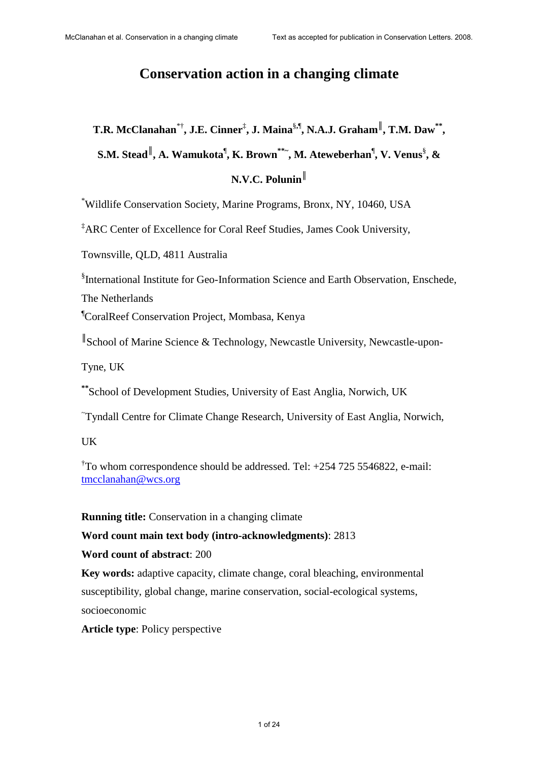## **Conservation action in a changing climate**

# $\mathbf{T}.\mathbf{R}.\,\text{McClanahan}^{* \dagger}, \textbf{J}.\text{E}.\,\text{Cinner}^{\ddagger}, \textbf{J}.\,\text{Maina}^{\S,\P}, \text{N.A.J. Graham}^{\P}, \text{T.M. Daw}^{* \dagger},$

 $\mathbf{S.M.}\ \mathbf{Stead}^{\parallel}, \mathbf{A.}\ \mathbf{Wamukota}^{\parallel}, \mathbf{K.}\ \mathbf{Brown}^{***}, \mathbf{M.}\ \mathbf{Ateweberhan}^{\parallel}, \mathbf{V.}\ \mathbf{Venus}^{\S}, \mathbf{\&}^{\perp}$ 

## **N.V.C. Polunin**║

\*Wildlife Conservation Society, Marine Programs, Bronx, NY, 10460, USA

‡ARC Center of Excellence for Coral Reef Studies, James Cook University,

Townsville, QLD, 4811 Australia

§ International Institute for Geo-Information Science and Earth Observation, Enschede, The Netherlands

¶CoralReef Conservation Project, Mombasa, Kenya

║ School of Marine Science & Technology, Newcastle University, Newcastle-upon-

Tyne, UK

**\*\***School of Development Studies, University of East Anglia, Norwich, UK

~ Tyndall Centre for Climate Change Research, University of East Anglia, Norwich,

UK

† To whom correspondence should be addressed. Tel: +254 725 5546822, e-mail: tmcclanahan@wcs.org

**Running title:** Conservation in a changing climate

**Word count main text body (intro-acknowledgments)**: 2813

#### **Word count of abstract**: 200

**Key words:** adaptive capacity, climate change, coral bleaching, environmental susceptibility, global change, marine conservation, social-ecological systems, socioeconomic

**Article type**: Policy perspective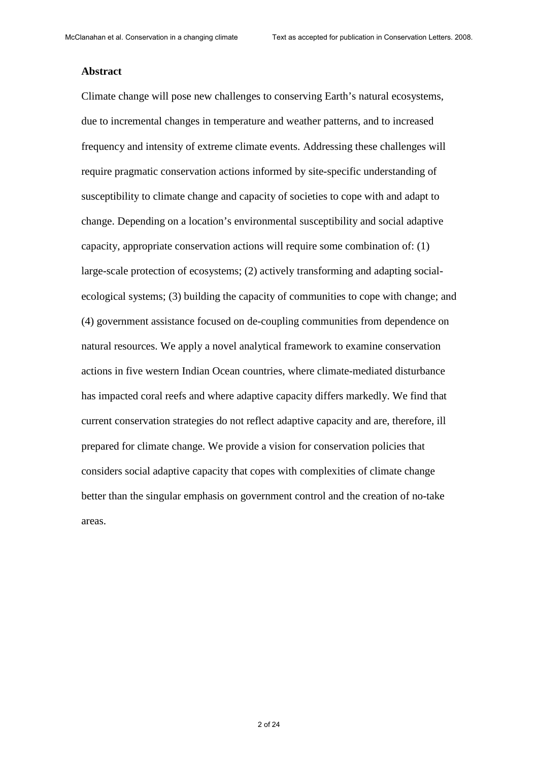#### **Abstract**

Climate change will pose new challenges to conserving Earth's natural ecosystems, due to incremental changes in temperature and weather patterns, and to increased frequency and intensity of extreme climate events. Addressing these challenges will require pragmatic conservation actions informed by site-specific understanding of susceptibility to climate change and capacity of societies to cope with and adapt to change. Depending on a location's environmental susceptibility and social adaptive capacity, appropriate conservation actions will require some combination of: (1) large-scale protection of ecosystems; (2) actively transforming and adapting socialecological systems; (3) building the capacity of communities to cope with change; and (4) government assistance focused on de-coupling communities from dependence on natural resources. We apply a novel analytical framework to examine conservation actions in five western Indian Ocean countries, where climate-mediated disturbance has impacted coral reefs and where adaptive capacity differs markedly. We find that current conservation strategies do not reflect adaptive capacity and are, therefore, ill prepared for climate change. We provide a vision for conservation policies that considers social adaptive capacity that copes with complexities of climate change better than the singular emphasis on government control and the creation of no-take areas.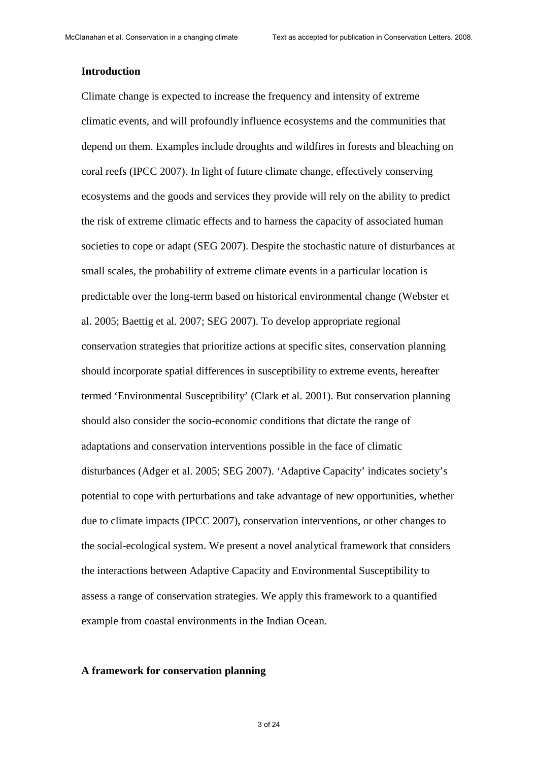#### **Introduction**

Climate change is expected to increase the frequency and intensity of extreme climatic events, and will profoundly influence ecosystems and the communities that depend on them. Examples include droughts and wildfires in forests and bleaching on coral reefs (IPCC 2007). In light of future climate change, effectively conserving ecosystems and the goods and services they provide will rely on the ability to predict the risk of extreme climatic effects and to harness the capacity of associated human societies to cope or adapt (SEG 2007). Despite the stochastic nature of disturbances at small scales, the probability of extreme climate events in a particular location is predictable over the long-term based on historical environmental change (Webster et al. 2005; Baettig et al. 2007; SEG 2007). To develop appropriate regional conservation strategies that prioritize actions at specific sites, conservation planning should incorporate spatial differences in susceptibility to extreme events, hereafter termed 'Environmental Susceptibility' (Clark et al. 2001). But conservation planning should also consider the socio-economic conditions that dictate the range of adaptations and conservation interventions possible in the face of climatic disturbances (Adger et al. 2005; SEG 2007). 'Adaptive Capacity' indicates society's potential to cope with perturbations and take advantage of new opportunities, whether due to climate impacts (IPCC 2007), conservation interventions, or other changes to the social-ecological system. We present a novel analytical framework that considers the interactions between Adaptive Capacity and Environmental Susceptibility to assess a range of conservation strategies. We apply this framework to a quantified example from coastal environments in the Indian Ocean.

#### **A framework for conservation planning**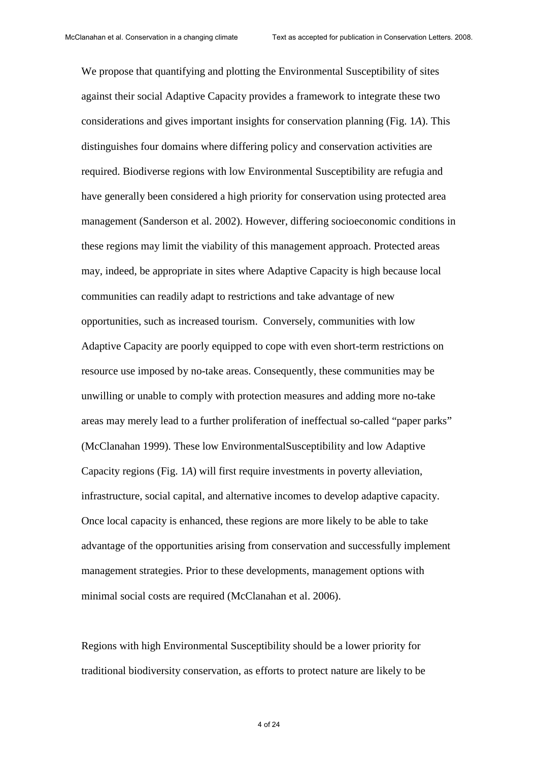We propose that quantifying and plotting the Environmental Susceptibility of sites against their social Adaptive Capacity provides a framework to integrate these two considerations and gives important insights for conservation planning (Fig. 1*A*). This distinguishes four domains where differing policy and conservation activities are required. Biodiverse regions with low Environmental Susceptibility are refugia and have generally been considered a high priority for conservation using protected area management (Sanderson et al. 2002). However, differing socioeconomic conditions in these regions may limit the viability of this management approach. Protected areas may, indeed, be appropriate in sites where Adaptive Capacity is high because local communities can readily adapt to restrictions and take advantage of new opportunities, such as increased tourism. Conversely, communities with low Adaptive Capacity are poorly equipped to cope with even short-term restrictions on resource use imposed by no-take areas. Consequently, these communities may be unwilling or unable to comply with protection measures and adding more no-take areas may merely lead to a further proliferation of ineffectual so-called "paper parks" (McClanahan 1999). These low EnvironmentalSusceptibility and low Adaptive Capacity regions (Fig. 1*A*) will first require investments in poverty alleviation, infrastructure, social capital, and alternative incomes to develop adaptive capacity. Once local capacity is enhanced, these regions are more likely to be able to take advantage of the opportunities arising from conservation and successfully implement management strategies. Prior to these developments, management options with minimal social costs are required (McClanahan et al. 2006).

Regions with high Environmental Susceptibility should be a lower priority for traditional biodiversity conservation, as efforts to protect nature are likely to be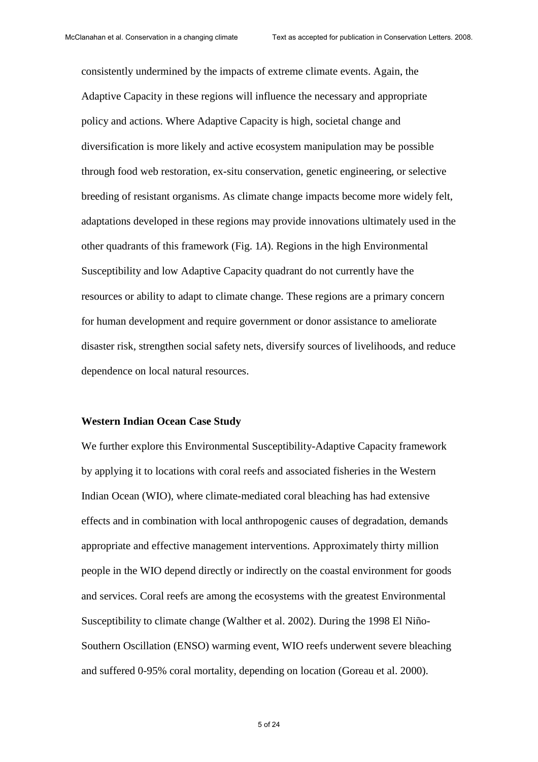consistently undermined by the impacts of extreme climate events. Again, the Adaptive Capacity in these regions will influence the necessary and appropriate policy and actions. Where Adaptive Capacity is high, societal change and diversification is more likely and active ecosystem manipulation may be possible through food web restoration, ex-situ conservation, genetic engineering, or selective breeding of resistant organisms. As climate change impacts become more widely felt, adaptations developed in these regions may provide innovations ultimately used in the other quadrants of this framework (Fig. 1*A*). Regions in the high Environmental Susceptibility and low Adaptive Capacity quadrant do not currently have the resources or ability to adapt to climate change. These regions are a primary concern for human development and require government or donor assistance to ameliorate disaster risk, strengthen social safety nets, diversify sources of livelihoods, and reduce dependence on local natural resources.

#### **Western Indian Ocean Case Study**

We further explore this Environmental Susceptibility-Adaptive Capacity framework by applying it to locations with coral reefs and associated fisheries in the Western Indian Ocean (WIO), where climate-mediated coral bleaching has had extensive effects and in combination with local anthropogenic causes of degradation, demands appropriate and effective management interventions. Approximately thirty million people in the WIO depend directly or indirectly on the coastal environment for goods and services. Coral reefs are among the ecosystems with the greatest Environmental Susceptibility to climate change (Walther et al. 2002). During the 1998 El Niño-Southern Oscillation (ENSO) warming event, WIO reefs underwent severe bleaching and suffered 0-95% coral mortality, depending on location (Goreau et al. 2000).

5 of 24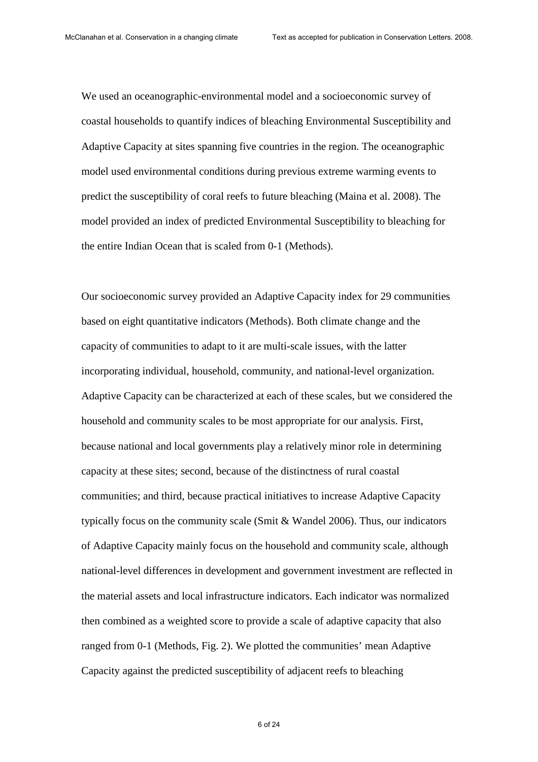We used an oceanographic-environmental model and a socioeconomic survey of coastal households to quantify indices of bleaching Environmental Susceptibility and Adaptive Capacity at sites spanning five countries in the region. The oceanographic model used environmental conditions during previous extreme warming events to predict the susceptibility of coral reefs to future bleaching (Maina et al. 2008). The model provided an index of predicted Environmental Susceptibility to bleaching for the entire Indian Ocean that is scaled from 0-1 (Methods).

Our socioeconomic survey provided an Adaptive Capacity index for 29 communities based on eight quantitative indicators (Methods). Both climate change and the capacity of communities to adapt to it are multi-scale issues, with the latter incorporating individual, household, community, and national-level organization. Adaptive Capacity can be characterized at each of these scales, but we considered the household and community scales to be most appropriate for our analysis. First, because national and local governments play a relatively minor role in determining capacity at these sites; second, because of the distinctness of rural coastal communities; and third, because practical initiatives to increase Adaptive Capacity typically focus on the community scale (Smit & Wandel 2006). Thus, our indicators of Adaptive Capacity mainly focus on the household and community scale, although national-level differences in development and government investment are reflected in the material assets and local infrastructure indicators. Each indicator was normalized then combined as a weighted score to provide a scale of adaptive capacity that also ranged from 0-1 (Methods, Fig. 2). We plotted the communities' mean Adaptive Capacity against the predicted susceptibility of adjacent reefs to bleaching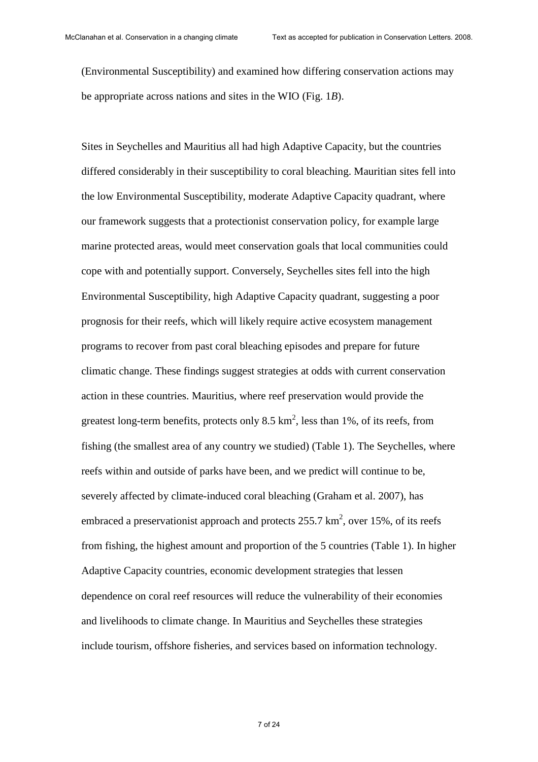(Environmental Susceptibility) and examined how differing conservation actions may be appropriate across nations and sites in the WIO (Fig. 1*B*).

Sites in Seychelles and Mauritius all had high Adaptive Capacity, but the countries differed considerably in their susceptibility to coral bleaching. Mauritian sites fell into the low Environmental Susceptibility, moderate Adaptive Capacity quadrant, where our framework suggests that a protectionist conservation policy, for example large marine protected areas, would meet conservation goals that local communities could cope with and potentially support. Conversely, Seychelles sites fell into the high Environmental Susceptibility, high Adaptive Capacity quadrant, suggesting a poor prognosis for their reefs, which will likely require active ecosystem management programs to recover from past coral bleaching episodes and prepare for future climatic change. These findings suggest strategies at odds with current conservation action in these countries. Mauritius, where reef preservation would provide the greatest long-term benefits, protects only 8.5  $km^2$ , less than 1%, of its reefs, from fishing (the smallest area of any country we studied) (Table 1). The Seychelles, where reefs within and outside of parks have been, and we predict will continue to be, severely affected by climate-induced coral bleaching (Graham et al. 2007), has embraced a preservationist approach and protects  $255.7 \text{ km}^2$ , over 15%, of its reefs from fishing, the highest amount and proportion of the 5 countries (Table 1). In higher Adaptive Capacity countries, economic development strategies that lessen dependence on coral reef resources will reduce the vulnerability of their economies and livelihoods to climate change. In Mauritius and Seychelles these strategies include tourism, offshore fisheries, and services based on information technology.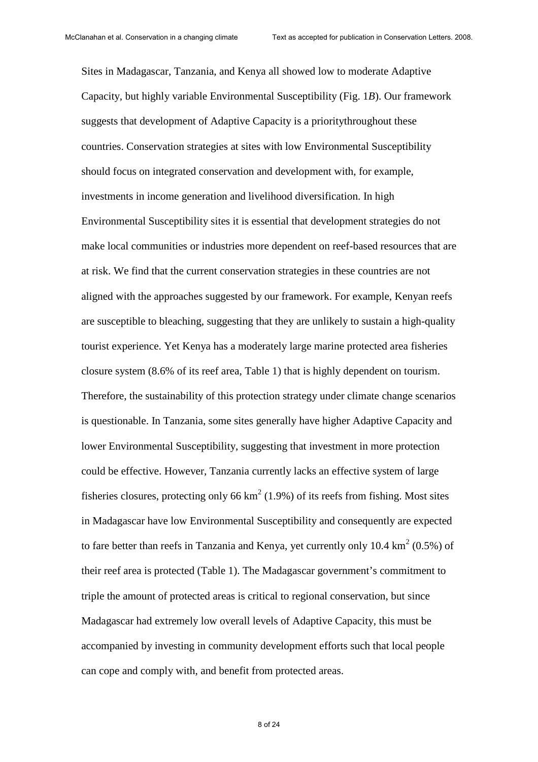Sites in Madagascar, Tanzania, and Kenya all showed low to moderate Adaptive Capacity, but highly variable Environmental Susceptibility (Fig. 1*B*). Our framework suggests that development of Adaptive Capacity is a prioritythroughout these countries. Conservation strategies at sites with low Environmental Susceptibility should focus on integrated conservation and development with, for example, investments in income generation and livelihood diversification. In high Environmental Susceptibility sites it is essential that development strategies do not make local communities or industries more dependent on reef-based resources that are at risk. We find that the current conservation strategies in these countries are not aligned with the approaches suggested by our framework. For example, Kenyan reefs are susceptible to bleaching, suggesting that they are unlikely to sustain a high-quality tourist experience. Yet Kenya has a moderately large marine protected area fisheries closure system (8.6% of its reef area, Table 1) that is highly dependent on tourism. Therefore, the sustainability of this protection strategy under climate change scenarios is questionable. In Tanzania, some sites generally have higher Adaptive Capacity and lower Environmental Susceptibility, suggesting that investment in more protection could be effective. However, Tanzania currently lacks an effective system of large fisheries closures, protecting only 66  $km^2$  (1.9%) of its reefs from fishing. Most sites in Madagascar have low Environmental Susceptibility and consequently are expected to fare better than reefs in Tanzania and Kenya, yet currently only 10.4  $km^2$  (0.5%) of their reef area is protected (Table 1). The Madagascar government's commitment to triple the amount of protected areas is critical to regional conservation, but since Madagascar had extremely low overall levels of Adaptive Capacity, this must be accompanied by investing in community development efforts such that local people can cope and comply with, and benefit from protected areas.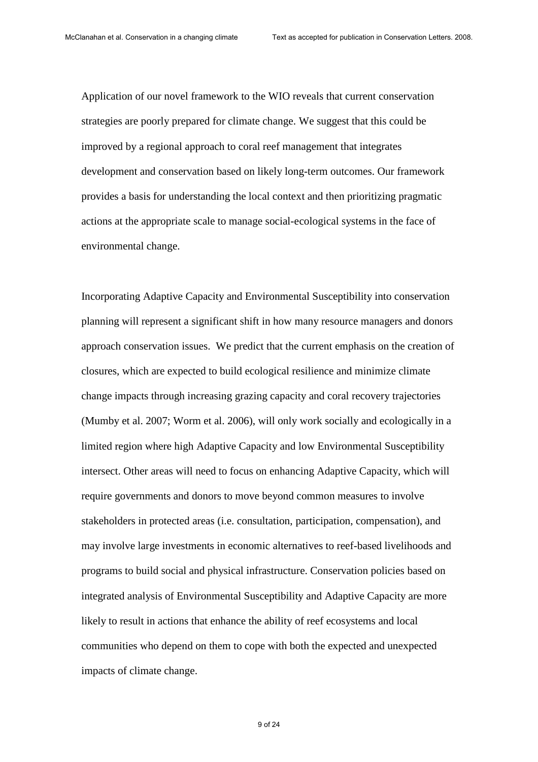Application of our novel framework to the WIO reveals that current conservation strategies are poorly prepared for climate change. We suggest that this could be improved by a regional approach to coral reef management that integrates development and conservation based on likely long-term outcomes. Our framework provides a basis for understanding the local context and then prioritizing pragmatic actions at the appropriate scale to manage social-ecological systems in the face of environmental change.

Incorporating Adaptive Capacity and Environmental Susceptibility into conservation planning will represent a significant shift in how many resource managers and donors approach conservation issues. We predict that the current emphasis on the creation of closures, which are expected to build ecological resilience and minimize climate change impacts through increasing grazing capacity and coral recovery trajectories (Mumby et al. 2007; Worm et al. 2006), will only work socially and ecologically in a limited region where high Adaptive Capacity and low Environmental Susceptibility intersect. Other areas will need to focus on enhancing Adaptive Capacity, which will require governments and donors to move beyond common measures to involve stakeholders in protected areas (i.e. consultation, participation, compensation), and may involve large investments in economic alternatives to reef-based livelihoods and programs to build social and physical infrastructure. Conservation policies based on integrated analysis of Environmental Susceptibility and Adaptive Capacity are more likely to result in actions that enhance the ability of reef ecosystems and local communities who depend on them to cope with both the expected and unexpected impacts of climate change.

9 of 24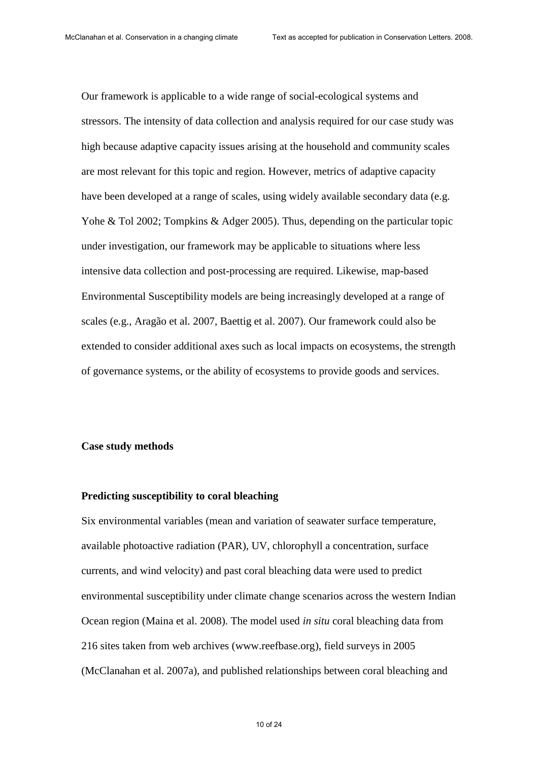Our framework is applicable to a wide range of social-ecological systems and stressors. The intensity of data collection and analysis required for our case study was high because adaptive capacity issues arising at the household and community scales are most relevant for this topic and region. However, metrics of adaptive capacity have been developed at a range of scales, using widely available secondary data (e.g. Yohe & Tol 2002; Tompkins & Adger 2005). Thus, depending on the particular topic under investigation, our framework may be applicable to situations where less intensive data collection and post-processing are required. Likewise, map-based Environmental Susceptibility models are being increasingly developed at a range of scales (e.g., Aragão et al. 2007, Baettig et al. 2007). Our framework could also be extended to consider additional axes such as local impacts on ecosystems, the strength of governance systems, or the ability of ecosystems to provide goods and services.

#### **Case study methods**

#### **Predicting susceptibility to coral bleaching**

Six environmental variables (mean and variation of seawater surface temperature, available photoactive radiation (PAR), UV, chlorophyll a concentration, surface currents, and wind velocity) and past coral bleaching data were used to predict environmental susceptibility under climate change scenarios across the western Indian Ocean region (Maina et al. 2008). The model used *in situ* coral bleaching data from 216 sites taken from web archives (www.reefbase.org), field surveys in 2005 (McClanahan et al. 2007a), and published relationships between coral bleaching and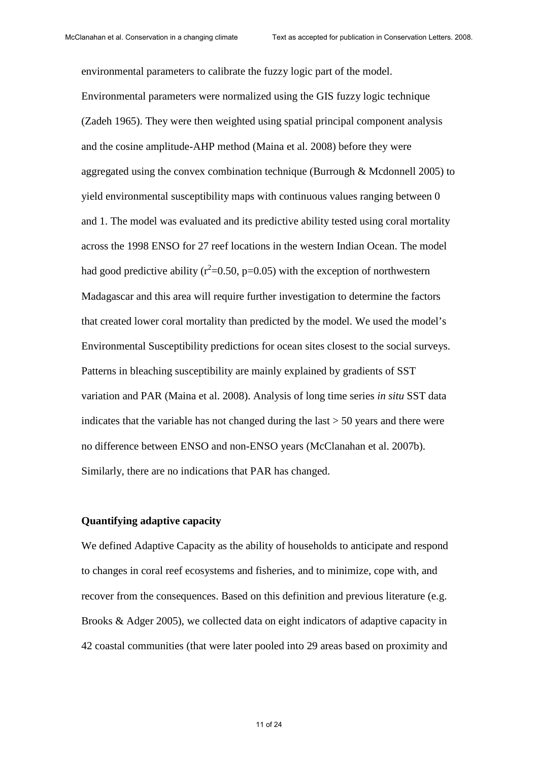environmental parameters to calibrate the fuzzy logic part of the model. Environmental parameters were normalized using the GIS fuzzy logic technique (Zadeh 1965). They were then weighted using spatial principal component analysis and the cosine amplitude-AHP method (Maina et al. 2008) before they were aggregated using the convex combination technique (Burrough & Mcdonnell 2005) to yield environmental susceptibility maps with continuous values ranging between 0 and 1. The model was evaluated and its predictive ability tested using coral mortality across the 1998 ENSO for 27 reef locations in the western Indian Ocean. The model had good predictive ability ( $r^2$ =0.50, p=0.05) with the exception of northwestern Madagascar and this area will require further investigation to determine the factors that created lower coral mortality than predicted by the model. We used the model's Environmental Susceptibility predictions for ocean sites closest to the social surveys. Patterns in bleaching susceptibility are mainly explained by gradients of SST variation and PAR (Maina et al. 2008). Analysis of long time series *in situ* SST data indicates that the variable has not changed during the last > 50 years and there were no difference between ENSO and non-ENSO years (McClanahan et al. 2007b). Similarly, there are no indications that PAR has changed.

#### **Quantifying adaptive capacity**

We defined Adaptive Capacity as the ability of households to anticipate and respond to changes in coral reef ecosystems and fisheries, and to minimize, cope with, and recover from the consequences. Based on this definition and previous literature (e.g. Brooks & Adger 2005), we collected data on eight indicators of adaptive capacity in 42 coastal communities (that were later pooled into 29 areas based on proximity and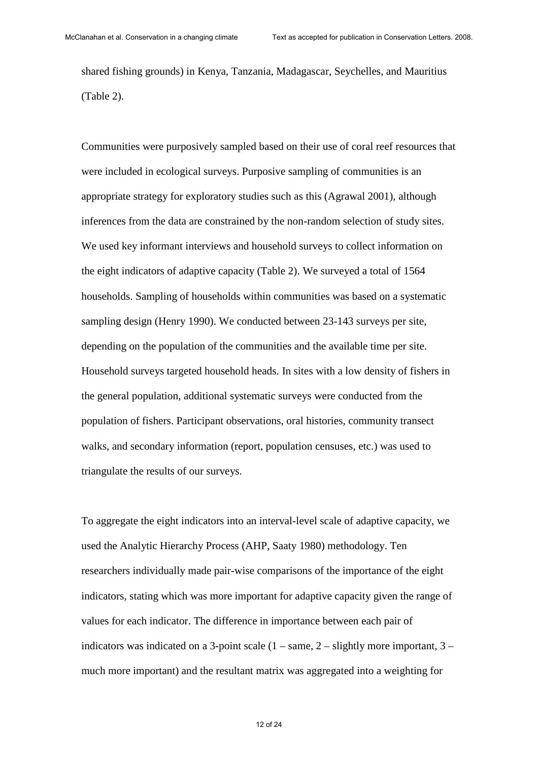shared fishing grounds) in Kenya, Tanzania, Madagascar, Seychelles, and Mauritius (Table 2).

Communities were purposively sampled based on their use of coral reef resources that were included in ecological surveys. Purposive sampling of communities is an appropriate strategy for exploratory studies such as this (Agrawal 2001), although inferences from the data are constrained by the non-random selection of study sites. We used key informant interviews and household surveys to collect information on the eight indicators of adaptive capacity (Table 2). We surveyed a total of 1564 households. Sampling of households within communities was based on a systematic sampling design (Henry 1990). We conducted between 23-143 surveys per site, depending on the population of the communities and the available time per site. Household surveys targeted household heads. In sites with a low density of fishers in the general population, additional systematic surveys were conducted from the population of fishers. Participant observations, oral histories, community transect walks, and secondary information (report, population censuses, etc.) was used to triangulate the results of our surveys.

To aggregate the eight indicators into an interval-level scale of adaptive capacity, we used the Analytic Hierarchy Process (AHP, Saaty 1980) methodology. Ten researchers individually made pair-wise comparisons of the importance of the eight indicators, stating which was more important for adaptive capacity given the range of values for each indicator. The difference in importance between each pair of indicators was indicated on a 3-point scale  $(1 - \text{same}, 2 - \text{slightly more important}, 3 - \text{red})$ much more important) and the resultant matrix was aggregated into a weighting for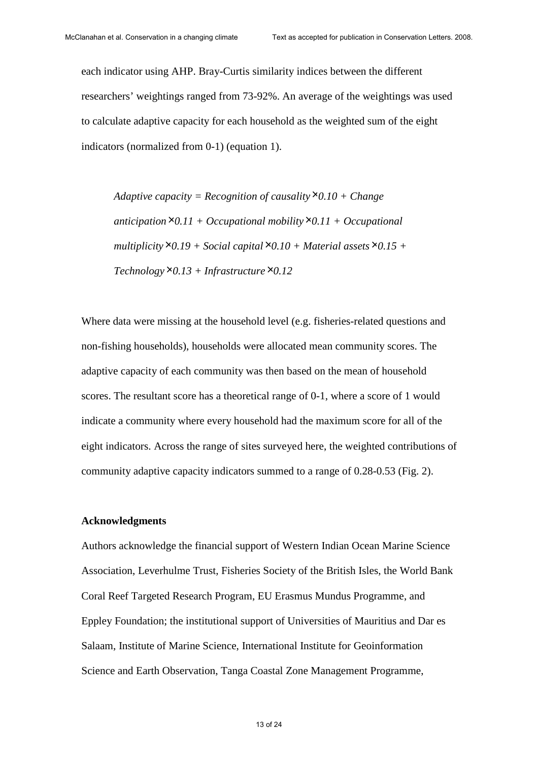each indicator using AHP. Bray-Curtis similarity indices between the different researchers' weightings ranged from 73-92%. An average of the weightings was used to calculate adaptive capacity for each household as the weighted sum of the eight indicators (normalized from 0-1) (equation 1).

*Adaptive capacity = Recognition of causality*×*0.10 + Change anticipation*×*0.11 + Occupational mobility*×*0.11 + Occupational*   $multiplicity \times 0.19 + Social capital \times 0.10 + Material assets \times 0.15 +$  $Technology \times 0.13 + Infrastructure \times 0.12$ 

Where data were missing at the household level (e.g. fisheries-related questions and non-fishing households), households were allocated mean community scores. The adaptive capacity of each community was then based on the mean of household scores. The resultant score has a theoretical range of 0-1, where a score of 1 would indicate a community where every household had the maximum score for all of the eight indicators. Across the range of sites surveyed here, the weighted contributions of community adaptive capacity indicators summed to a range of 0.28-0.53 (Fig. 2).

#### **Acknowledgments**

Authors acknowledge the financial support of Western Indian Ocean Marine Science Association, Leverhulme Trust, Fisheries Society of the British Isles, the World Bank Coral Reef Targeted Research Program, EU Erasmus Mundus Programme, and Eppley Foundation; the institutional support of Universities of Mauritius and Dar es Salaam, Institute of Marine Science, International Institute for Geoinformation Science and Earth Observation, Tanga Coastal Zone Management Programme,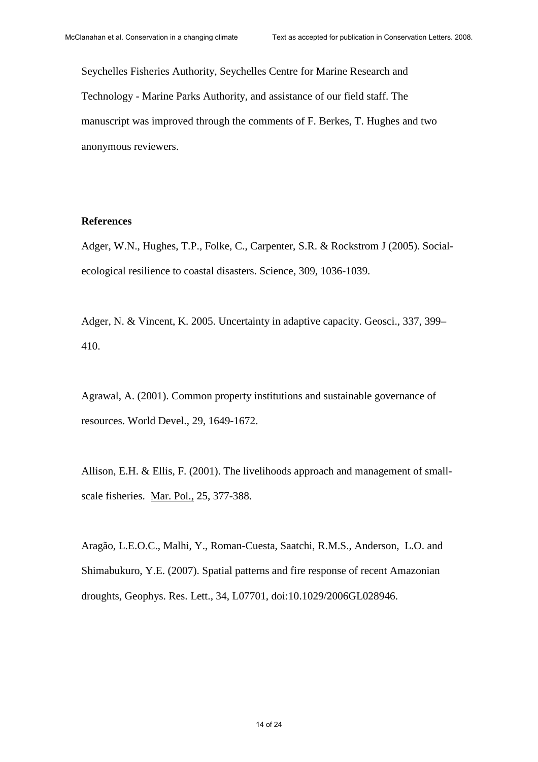Seychelles Fisheries Authority, Seychelles Centre for Marine Research and Technology - Marine Parks Authority, and assistance of our field staff. The manuscript was improved through the comments of F. Berkes, T. Hughes and two anonymous reviewers.

#### **References**

Adger, W.N., Hughes, T.P., Folke, C., Carpenter, S.R. & Rockstrom J (2005). Socialecological resilience to coastal disasters. Science, 309, 1036-1039.

Adger, N. & Vincent, K. 2005. Uncertainty in adaptive capacity. Geosci., 337, 399– 410.

Agrawal, A. (2001). Common property institutions and sustainable governance of resources. World Devel., 29, 1649-1672.

Allison, E.H. & Ellis, F. (2001). The livelihoods approach and management of smallscale fisheries. Mar. Pol., 25, 377-388.

Aragão, L.E.O.C., Malhi, Y., Roman-Cuesta, Saatchi, R.M.S., Anderson, L.O. and Shimabukuro, Y.E. (2007). Spatial patterns and fire response of recent Amazonian droughts, Geophys. Res. Lett., 34, L07701, doi:10.1029/2006GL028946.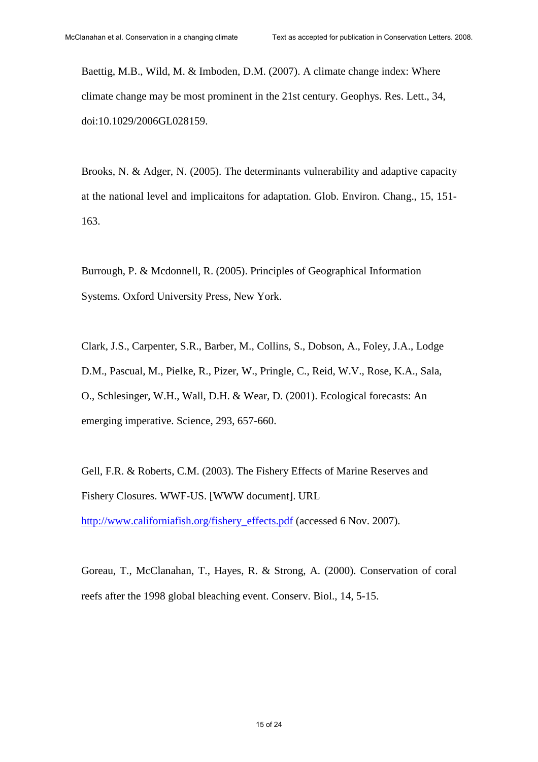Baettig, M.B., Wild, M. & Imboden, D.M. (2007). A climate change index: Where climate change may be most prominent in the 21st century. Geophys. Res. Lett., 34, doi:10.1029/2006GL028159.

Brooks, N. & Adger, N. (2005). The determinants vulnerability and adaptive capacity at the national level and implicaitons for adaptation. Glob. Environ. Chang., 15, 151- 163.

Burrough, P. & Mcdonnell, R. (2005). Principles of Geographical Information Systems. Oxford University Press, New York.

Clark, J.S., Carpenter, S.R., Barber, M., Collins, S., Dobson, A., Foley, J.A., Lodge D.M., Pascual, M., Pielke, R., Pizer, W., Pringle, C., Reid, W.V., Rose, K.A., Sala, O., Schlesinger, W.H., Wall, D.H. & Wear, D. (2001). Ecological forecasts: An emerging imperative. Science, 293, 657-660.

Gell, F.R. & Roberts, C.M. (2003). The Fishery Effects of Marine Reserves and Fishery Closures. WWF-US. [WWW document]. URL

http://www.californiafish.org/fishery\_effects.pdf (accessed 6 Nov. 2007).

Goreau, T., McClanahan, T., Hayes, R. & Strong, A. (2000). Conservation of coral reefs after the 1998 global bleaching event. Conserv. Biol., 14, 5-15.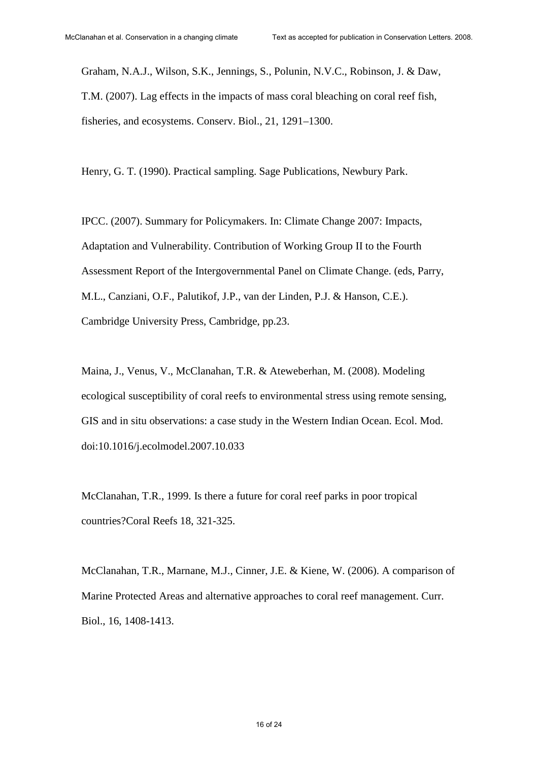Graham, N.A.J., Wilson, S.K., Jennings, S., Polunin, N.V.C., Robinson, J. & Daw, T.M. (2007). Lag effects in the impacts of mass coral bleaching on coral reef fish, fisheries, and ecosystems. Conserv. Biol., 21, 1291–1300.

Henry, G. T. (1990). Practical sampling. Sage Publications, Newbury Park.

IPCC. (2007). Summary for Policymakers. In: Climate Change 2007: Impacts, Adaptation and Vulnerability. Contribution of Working Group II to the Fourth Assessment Report of the Intergovernmental Panel on Climate Change. (eds, Parry, M.L., Canziani, O.F., Palutikof, J.P., van der Linden, P.J. & Hanson, C.E.). Cambridge University Press, Cambridge, pp.23.

Maina, J., Venus, V., McClanahan, T.R. & Ateweberhan, M. (2008). Modeling ecological susceptibility of coral reefs to environmental stress using remote sensing, GIS and in situ observations: a case study in the Western Indian Ocean. Ecol. Mod. doi:10.1016/j.ecolmodel.2007.10.033

McClanahan, T.R., 1999. Is there a future for coral reef parks in poor tropical countries?Coral Reefs 18, 321-325.

McClanahan, T.R., Marnane, M.J., Cinner, J.E. & Kiene, W. (2006). A comparison of Marine Protected Areas and alternative approaches to coral reef management. Curr. Biol., 16, 1408-1413.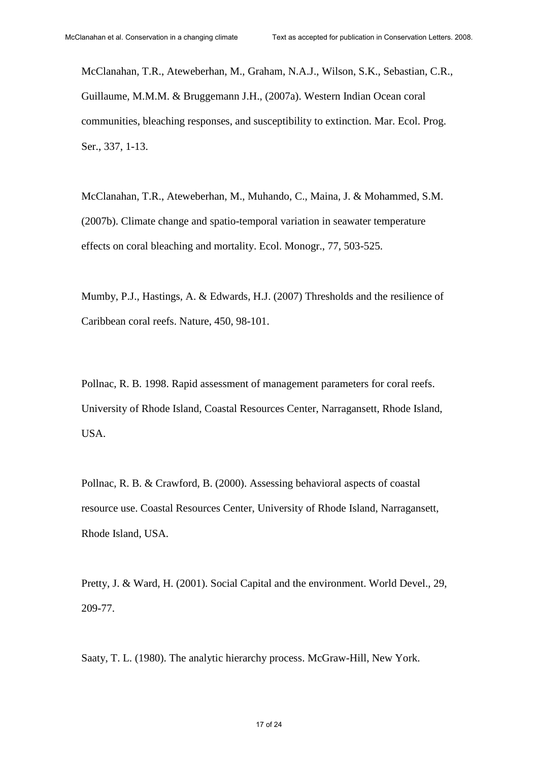McClanahan, T.R., Ateweberhan, M., Graham, N.A.J., Wilson, S.K., Sebastian, C.R., Guillaume, M.M.M. & Bruggemann J.H., (2007a). Western Indian Ocean coral communities, bleaching responses, and susceptibility to extinction. Mar. Ecol. Prog. Ser., 337, 1-13.

McClanahan, T.R., Ateweberhan, M., Muhando, C., Maina, J. & Mohammed, S.M. (2007b). Climate change and spatio-temporal variation in seawater temperature effects on coral bleaching and mortality. Ecol. Monogr., 77, 503-525.

Mumby, P.J., Hastings, A. & Edwards, H.J. (2007) Thresholds and the resilience of Caribbean coral reefs. Nature, 450, 98-101.

Pollnac, R. B. 1998. Rapid assessment of management parameters for coral reefs. University of Rhode Island, Coastal Resources Center, Narragansett, Rhode Island, USA.

Pollnac, R. B. & Crawford, B. (2000). Assessing behavioral aspects of coastal resource use. Coastal Resources Center, University of Rhode Island, Narragansett, Rhode Island, USA.

Pretty, J. & Ward, H. (2001). Social Capital and the environment. World Devel., 29, 209-77.

Saaty, T. L. (1980). The analytic hierarchy process. McGraw-Hill, New York.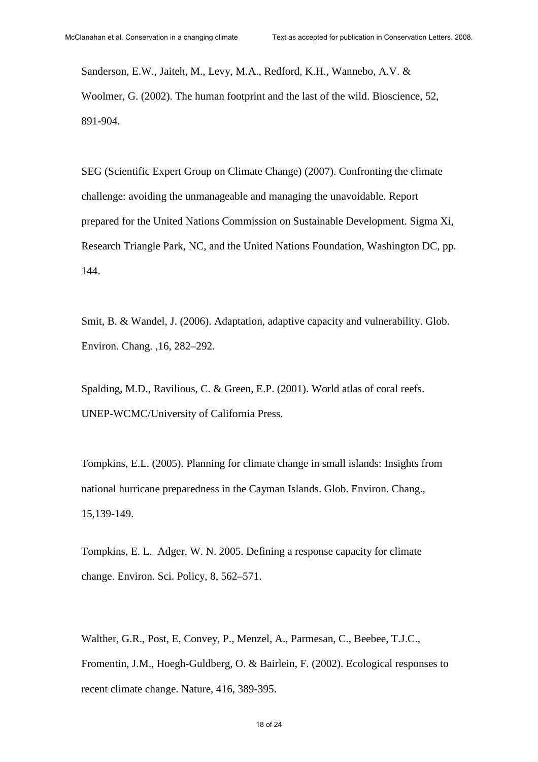Sanderson, E.W., Jaiteh, M., Levy, M.A., Redford, K.H., Wannebo, A.V. & Woolmer, G. (2002). The human footprint and the last of the wild. Bioscience, 52, 891-904.

SEG (Scientific Expert Group on Climate Change) (2007). Confronting the climate challenge: avoiding the unmanageable and managing the unavoidable. Report prepared for the United Nations Commission on Sustainable Development. Sigma Xi, Research Triangle Park, NC, and the United Nations Foundation, Washington DC, pp. 144.

Smit, B. & Wandel, J. (2006). Adaptation, adaptive capacity and vulnerability. Glob. Environ. Chang. ,16, 282–292.

Spalding, M.D., Ravilious, C. & Green, E.P. (2001). World atlas of coral reefs. UNEP-WCMC/University of California Press.

Tompkins, E.L. (2005). Planning for climate change in small islands: Insights from national hurricane preparedness in the Cayman Islands. Glob. Environ. Chang., 15,139-149.

Tompkins, E. L. Adger, W. N. 2005. Defining a response capacity for climate change. Environ. Sci. Policy, 8, 562–571.

Walther, G.R., Post, E, Convey, P., Menzel, A., Parmesan, C., Beebee, T.J.C., Fromentin, J.M., Hoegh-Guldberg, O. & Bairlein, F. (2002). Ecological responses to recent climate change. Nature, 416, 389-395.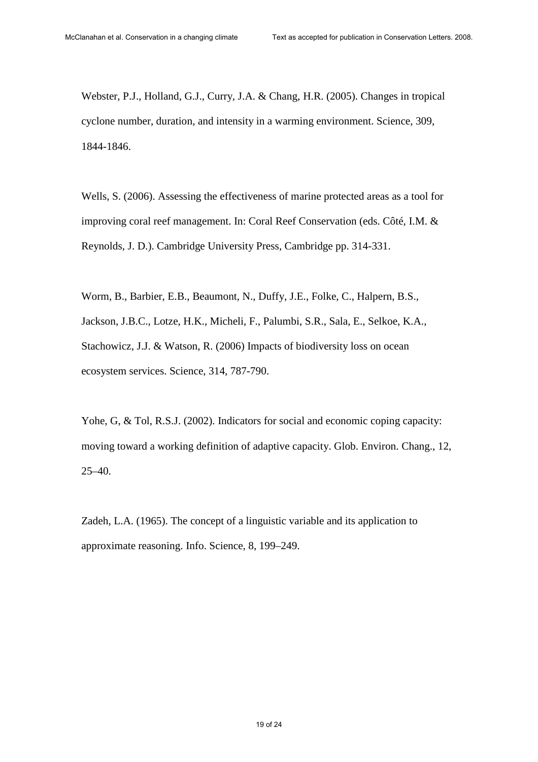Webster, P.J., Holland, G.J., Curry, J.A. & Chang, H.R. (2005). Changes in tropical cyclone number, duration, and intensity in a warming environment. Science, 309, 1844-1846.

Wells, S. (2006). Assessing the effectiveness of marine protected areas as a tool for improving coral reef management. In: Coral Reef Conservation (eds. Côté, I.M. & Reynolds, J. D.). Cambridge University Press, Cambridge pp. 314-331.

Worm, B., Barbier, E.B., Beaumont, N., Duffy, J.E., Folke, C., Halpern, B.S., Jackson, J.B.C., Lotze, H.K., Micheli, F., Palumbi, S.R., Sala, E., Selkoe, K.A., Stachowicz, J.J. & Watson, R. (2006) Impacts of biodiversity loss on ocean ecosystem services. Science, 314, 787-790.

Yohe, G, & Tol, R.S.J. (2002). Indicators for social and economic coping capacity: moving toward a working definition of adaptive capacity. Glob. Environ. Chang., 12, 25–40.

Zadeh, L.A. (1965). The concept of a linguistic variable and its application to approximate reasoning. Info. Science, 8, 199–249.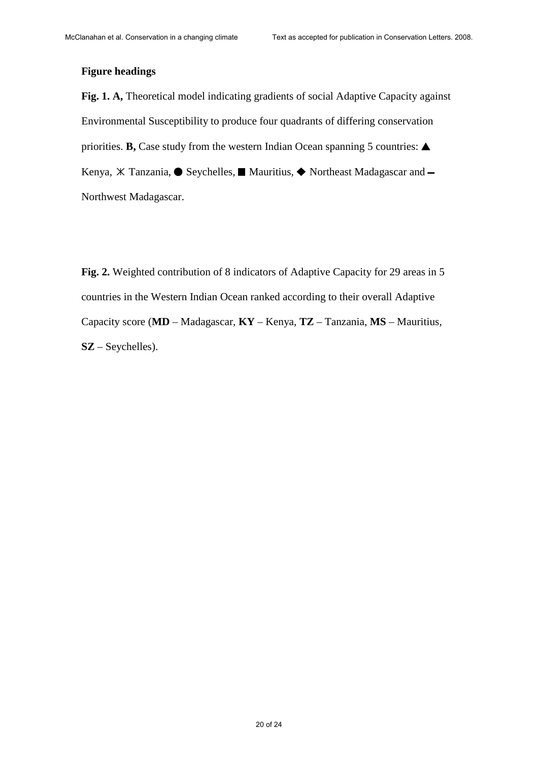#### **Figure headings**

**Fig. 1. A,** Theoretical model indicating gradients of social Adaptive Capacity against Environmental Susceptibility to produce four quadrants of differing conservation priorities. **B**, Case study from the western Indian Ocean spanning 5 countries:  $\triangle$ Kenya, <sup>X</sup> Tanzania, ● Seychelles, Mauritius, ◆ Northeast Madagascar and -Northwest Madagascar.

**Fig. 2.** Weighted contribution of 8 indicators of Adaptive Capacity for 29 areas in 5 countries in the Western Indian Ocean ranked according to their overall Adaptive Capacity score (**MD** – Madagascar, **KY** – Kenya, **TZ** – Tanzania, **MS** – Mauritius, **SZ** – Seychelles).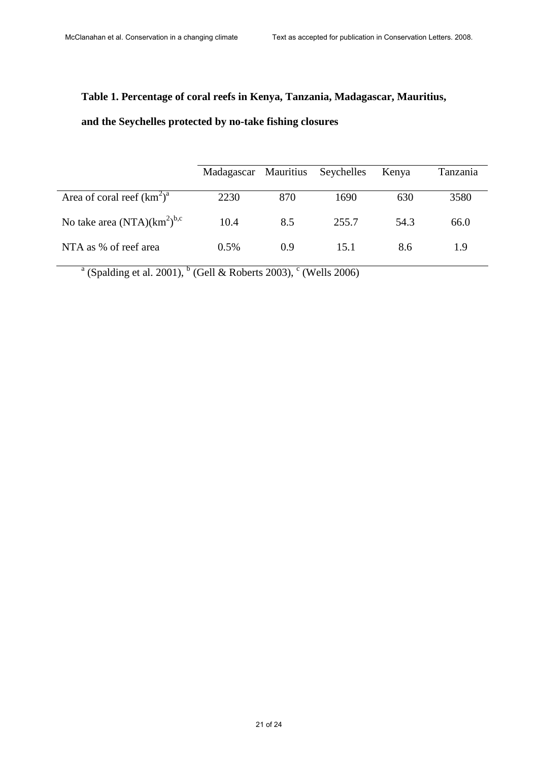## **Table 1. Percentage of coral reefs in Kenya, Tanzania, Madagascar, Mauritius,**

## **and the Seychelles protected by no-take fishing closures**

|                                  | Madagascar Mauritius Seychelles |     |       | Kenya | Tanzania |
|----------------------------------|---------------------------------|-----|-------|-------|----------|
| Area of coral reef $(km^2)^a$    | 2230                            | 870 | 1690  | 630   | 3580     |
| No take area $(NTA)(km^2)^{b,c}$ | 10.4                            | 8.5 | 255.7 | 54.3  | 66.0     |
| NTA as % of reef area            | $0.5\%$                         | 0.9 | 15.1  | 8.6   | 1.9      |

<sup>a</sup> (Spalding et al. 2001), <sup>b</sup> (Gell & Roberts 2003), <sup>c</sup> (Wells 2006)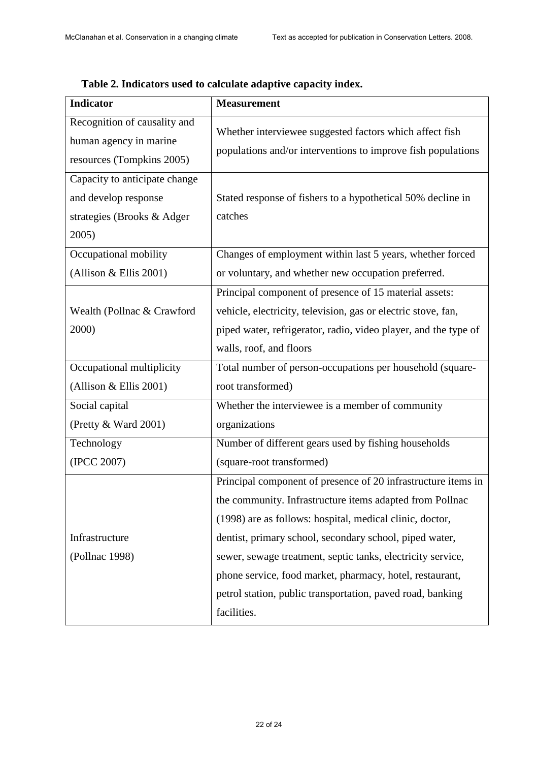| <b>Indicator</b>                                                                             | <b>Measurement</b>                                                                                                      |  |
|----------------------------------------------------------------------------------------------|-------------------------------------------------------------------------------------------------------------------------|--|
| Recognition of causality and<br>human agency in marine<br>resources (Tompkins 2005)          | Whether interviewee suggested factors which affect fish<br>populations and/or interventions to improve fish populations |  |
| Capacity to anticipate change<br>and develop response<br>strategies (Brooks & Adger<br>2005) | Stated response of fishers to a hypothetical 50% decline in<br>catches                                                  |  |
| Occupational mobility                                                                        | Changes of employment within last 5 years, whether forced                                                               |  |
| (Allison & Ellis 2001)                                                                       | or voluntary, and whether new occupation preferred.                                                                     |  |
|                                                                                              | Principal component of presence of 15 material assets:                                                                  |  |
| Wealth (Pollnac & Crawford                                                                   | vehicle, electricity, television, gas or electric stove, fan,                                                           |  |
| 2000)                                                                                        | piped water, refrigerator, radio, video player, and the type of                                                         |  |
|                                                                                              | walls, roof, and floors                                                                                                 |  |
| Occupational multiplicity                                                                    | Total number of person-occupations per household (square-                                                               |  |
| (Allison $&$ Ellis 2001)                                                                     | root transformed)                                                                                                       |  |
| Social capital                                                                               | Whether the interviewee is a member of community                                                                        |  |
| (Pretty & Ward 2001)                                                                         | organizations                                                                                                           |  |
| Technology                                                                                   | Number of different gears used by fishing households                                                                    |  |
| (IPCC 2007)                                                                                  | (square-root transformed)                                                                                               |  |
|                                                                                              | Principal component of presence of 20 infrastructure items in                                                           |  |
|                                                                                              | the community. Infrastructure items adapted from Pollnac                                                                |  |
|                                                                                              | (1998) are as follows: hospital, medical clinic, doctor,                                                                |  |
| Infrastructure                                                                               | dentist, primary school, secondary school, piped water,                                                                 |  |
| (Pollnac 1998)                                                                               | sewer, sewage treatment, septic tanks, electricity service,                                                             |  |
|                                                                                              | phone service, food market, pharmacy, hotel, restaurant,                                                                |  |
|                                                                                              | petrol station, public transportation, paved road, banking                                                              |  |
|                                                                                              | facilities.                                                                                                             |  |

## **Table 2. Indicators used to calculate adaptive capacity index.**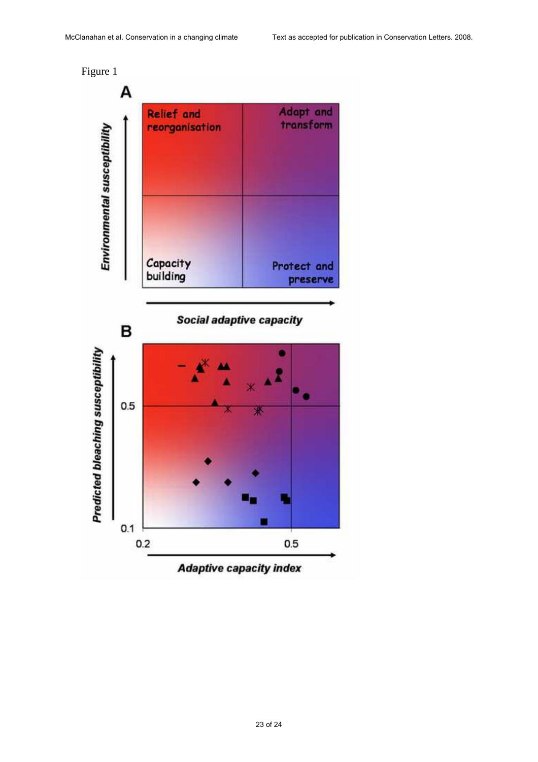Figure 1